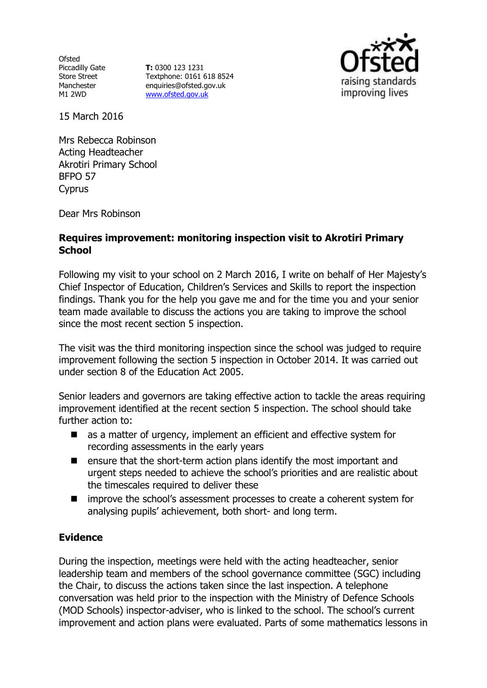**Ofsted** Piccadilly Gate Store Street Manchester M1 2WD

**T:** 0300 123 1231 Textphone: 0161 618 8524 enquiries@ofsted.gov.uk [www.ofsted.gov.uk](http://www.ofsted.gov.uk/)



15 March 2016

Mrs Rebecca Robinson Acting Headteacher Akrotiri Primary School BFPO 57 Cyprus

Dear Mrs Robinson

## **Requires improvement: monitoring inspection visit to Akrotiri Primary School**

Following my visit to your school on 2 March 2016, I write on behalf of Her Majesty's Chief Inspector of Education, Children's Services and Skills to report the inspection findings. Thank you for the help you gave me and for the time you and your senior team made available to discuss the actions you are taking to improve the school since the most recent section 5 inspection.

The visit was the third monitoring inspection since the school was judged to require improvement following the section 5 inspection in October 2014. It was carried out under section 8 of the Education Act 2005.

Senior leaders and governors are taking effective action to tackle the areas requiring improvement identified at the recent section 5 inspection. The school should take further action to:

- as a matter of urgency, implement an efficient and effective system for recording assessments in the early years
- $\blacksquare$  ensure that the short-term action plans identify the most important and urgent steps needed to achieve the school's priorities and are realistic about the timescales required to deliver these
- improve the school's assessment processes to create a coherent system for analysing pupils' achievement, both short- and long term.

# **Evidence**

During the inspection, meetings were held with the acting headteacher, senior leadership team and members of the school governance committee (SGC) including the Chair, to discuss the actions taken since the last inspection. A telephone conversation was held prior to the inspection with the Ministry of Defence Schools (MOD Schools) inspector-adviser, who is linked to the school. The school's current improvement and action plans were evaluated. Parts of some mathematics lessons in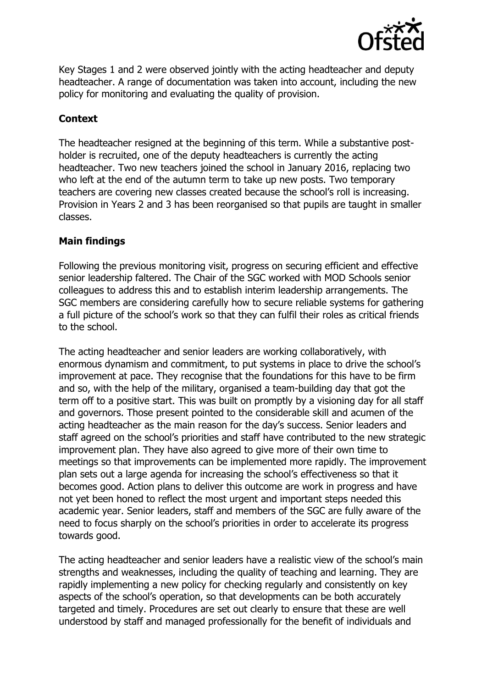

Key Stages 1 and 2 were observed jointly with the acting headteacher and deputy headteacher. A range of documentation was taken into account, including the new policy for monitoring and evaluating the quality of provision.

### **Context**

The headteacher resigned at the beginning of this term. While a substantive postholder is recruited, one of the deputy headteachers is currently the acting headteacher. Two new teachers joined the school in January 2016, replacing two who left at the end of the autumn term to take up new posts. Two temporary teachers are covering new classes created because the school's roll is increasing. Provision in Years 2 and 3 has been reorganised so that pupils are taught in smaller classes.

### **Main findings**

Following the previous monitoring visit, progress on securing efficient and effective senior leadership faltered. The Chair of the SGC worked with MOD Schools senior colleagues to address this and to establish interim leadership arrangements. The SGC members are considering carefully how to secure reliable systems for gathering a full picture of the school's work so that they can fulfil their roles as critical friends to the school.

The acting headteacher and senior leaders are working collaboratively, with enormous dynamism and commitment, to put systems in place to drive the school's improvement at pace. They recognise that the foundations for this have to be firm and so, with the help of the military, organised a team-building day that got the term off to a positive start. This was built on promptly by a visioning day for all staff and governors. Those present pointed to the considerable skill and acumen of the acting headteacher as the main reason for the day's success. Senior leaders and staff agreed on the school's priorities and staff have contributed to the new strategic improvement plan. They have also agreed to give more of their own time to meetings so that improvements can be implemented more rapidly. The improvement plan sets out a large agenda for increasing the school's effectiveness so that it becomes good. Action plans to deliver this outcome are work in progress and have not yet been honed to reflect the most urgent and important steps needed this academic year. Senior leaders, staff and members of the SGC are fully aware of the need to focus sharply on the school's priorities in order to accelerate its progress towards good.

The acting headteacher and senior leaders have a realistic view of the school's main strengths and weaknesses, including the quality of teaching and learning. They are rapidly implementing a new policy for checking regularly and consistently on key aspects of the school's operation, so that developments can be both accurately targeted and timely. Procedures are set out clearly to ensure that these are well understood by staff and managed professionally for the benefit of individuals and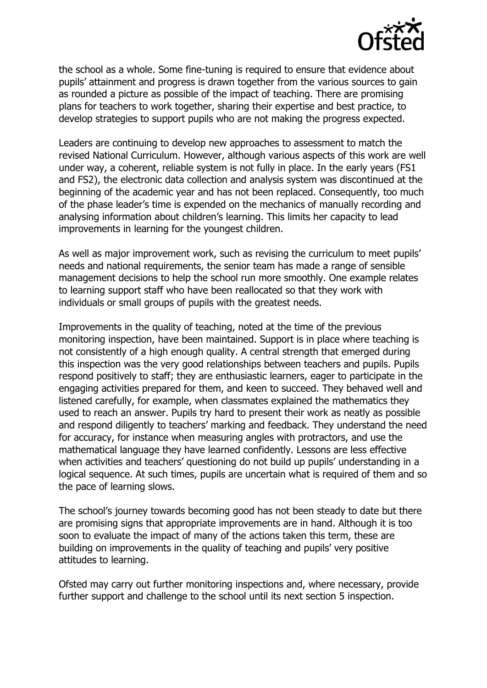

the school as a whole. Some fine-tuning is required to ensure that evidence about pupils' attainment and progress is drawn together from the various sources to gain as rounded a picture as possible of the impact of teaching. There are promising plans for teachers to work together, sharing their expertise and best practice, to develop strategies to support pupils who are not making the progress expected.

Leaders are continuing to develop new approaches to assessment to match the revised National Curriculum. However, although various aspects of this work are well under way, a coherent, reliable system is not fully in place. In the early years (FS1 and FS2), the electronic data collection and analysis system was discontinued at the beginning of the academic year and has not been replaced. Consequently, too much of the phase leader's time is expended on the mechanics of manually recording and analysing information about children's learning. This limits her capacity to lead improvements in learning for the youngest children.

As well as major improvement work, such as revising the curriculum to meet pupils' needs and national requirements, the senior team has made a range of sensible management decisions to help the school run more smoothly. One example relates to learning support staff who have been reallocated so that they work with individuals or small groups of pupils with the greatest needs.

Improvements in the quality of teaching, noted at the time of the previous monitoring inspection, have been maintained. Support is in place where teaching is not consistently of a high enough quality. A central strength that emerged during this inspection was the very good relationships between teachers and pupils. Pupils respond positively to staff; they are enthusiastic learners, eager to participate in the engaging activities prepared for them, and keen to succeed. They behaved well and listened carefully, for example, when classmates explained the mathematics they used to reach an answer. Pupils try hard to present their work as neatly as possible and respond diligently to teachers' marking and feedback. They understand the need for accuracy, for instance when measuring angles with protractors, and use the mathematical language they have learned confidently. Lessons are less effective when activities and teachers' questioning do not build up pupils' understanding in a logical sequence. At such times, pupils are uncertain what is required of them and so the pace of learning slows.

The school's journey towards becoming good has not been steady to date but there are promising signs that appropriate improvements are in hand. Although it is too soon to evaluate the impact of many of the actions taken this term, these are building on improvements in the quality of teaching and pupils' very positive attitudes to learning.

Ofsted may carry out further monitoring inspections and, where necessary, provide further support and challenge to the school until its next section 5 inspection.